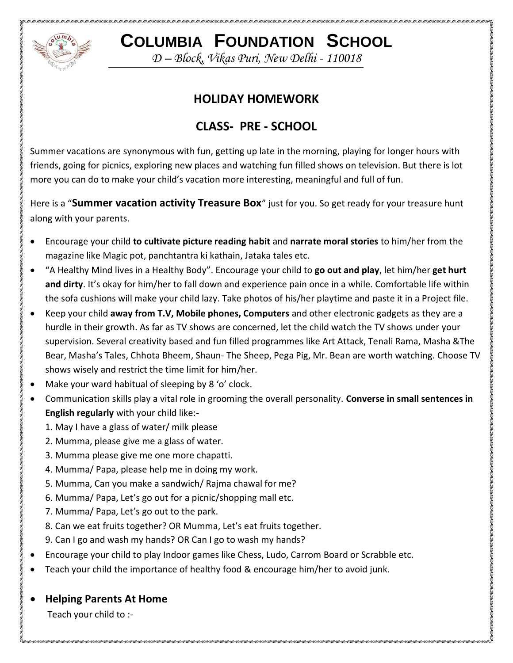

**COLUMBIA FOUNDATION SCHOOL**

*D – Block, Vikas Puri, New Delhi - 110018*

## **HOLIDAY HOMEWORK**

# **CLASS- PRE - SCHOOL**

Summer vacations are synonymous with fun, getting up late in the morning, playing for longer hours with friends, going for picnics, exploring new places and watching fun filled shows on television. But there is lot more you can do to make your child's vacation more interesting, meaningful and full of fun.

Here is a "**Summer vacation activity Treasure Box**" just for you. So get ready for your treasure hunt along with your parents.

- Encourage your child **to cultivate picture reading habit** and **narrate moral stories** to him/her from the magazine like Magic pot, panchtantra ki kathain, Jataka tales etc.
- "A Healthy Mind lives in a Healthy Body". Encourage your child to **go out and play**, let him/her **get hurt and dirty**. It's okay for him/her to fall down and experience pain once in a while. Comfortable life within the sofa cushions will make your child lazy. Take photos of his/her playtime and paste it in a Project file.
- Keep your child **away from T.V, Mobile phones, Computers** and other electronic gadgets as they are a hurdle in their growth. As far as TV shows are concerned, let the child watch the TV shows under your supervision. Several creativity based and fun filled programmes like Art Attack, Tenali Rama, Masha &The Bear, Masha's Tales, Chhota Bheem, Shaun- The Sheep, Pega Pig, Mr. Bean are worth watching. Choose TV shows wisely and restrict the time limit for him/her.
- Make your ward habitual of sleeping by 8 'o' clock.
- Communication skills play a vital role in grooming the overall personality. **Converse in small sentences in English regularly** with your child like:-
	- 1. May I have a glass of water/ milk please
	- 2. Mumma, please give me a glass of water.
	- 3. Mumma please give me one more chapatti.
	- 4. Mumma/ Papa, please help me in doing my work.
	- 5. Mumma, Can you make a sandwich/ Rajma chawal for me?
	- 6. Mumma/ Papa, Let's go out for a picnic/shopping mall etc.
	- 7. Mumma/ Papa, Let's go out to the park.
	- 8. Can we eat fruits together? OR Mumma, Let's eat fruits together.
	- 9. Can I go and wash my hands? OR Can I go to wash my hands?
- Encourage your child to play Indoor games like Chess, Ludo, Carrom Board or Scrabble etc.
- Teach your child the importance of healthy food & encourage him/her to avoid junk.

#### **Helping Parents At Home**

Teach your child to :-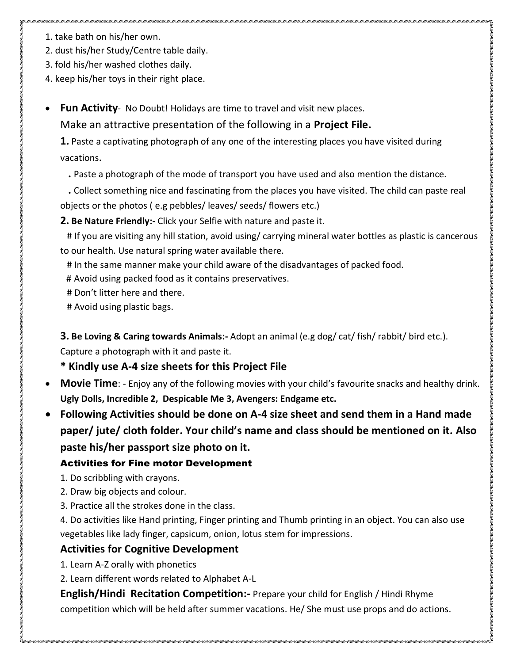- , and a communication and announced and announced and announced and announced and announced and announced and announced
	- 1. take bath on his/her own.
	- 2. dust his/her Study/Centre table daily.
	- 3. fold his/her washed clothes daily.
	- 4. keep his/her toys in their right place.
	- **Fun Activity** No Doubt! Holidays are time to travel and visit new places. Make an attractive presentation of the following in a **Project File.**

**1.** Paste a captivating photograph of any one of the interesting places you have visited during vacations.

- **.** Paste a photograph of the mode of transport you have used and also mention the distance.
- **.** Collect something nice and fascinating from the places you have visited. The child can paste real

objects or the photos ( e.g pebbles/ leaves/ seeds/ flowers etc.)

**2. Be Nature Friendly:-** Click your Selfie with nature and paste it.

 # If you are visiting any hill station, avoid using/ carrying mineral water bottles as plastic is cancerous to our health. Use natural spring water available there.

- # In the same manner make your child aware of the disadvantages of packed food.
- # Avoid using packed food as it contains preservatives.
- # Don't litter here and there.
- # Avoid using plastic bags.

**3. Be Loving & Caring towards Animals:-** Adopt an animal (e.g dog/ cat/ fish/ rabbit/ bird etc.). Capture a photograph with it and paste it.

### **\* Kindly use A-4 size sheets for this Project File**

- **Movie Time**: Enjoy any of the following movies with your child's favourite snacks and healthy drink. **Ugly Dolls, Incredible 2, Despicable Me 3, Avengers: Endgame etc.**
- **Following Activities should be done on A-4 size sheet and send them in a Hand made paper/ jute/ cloth folder. Your child's name and class should be mentioned on it. Also paste his/her passport size photo on it.**

#### Activities for Fine motor Development

- 1. Do scribbling with crayons.
- 2. Draw big objects and colour.
- 3. Practice all the strokes done in the class.

4. Do activities like Hand printing, Finger printing and Thumb printing in an object. You can also use vegetables like lady finger, capsicum, onion, lotus stem for impressions.

### **Activities for Cognitive Development**

- 1. Learn A-Z orally with phonetics
- 2. Learn different words related to Alphabet A-L

**English/Hindi Recitation Competition:-** Prepare your child for English / Hindi Rhyme competition which will be held after summer vacations. He/ She must use props and do actions.